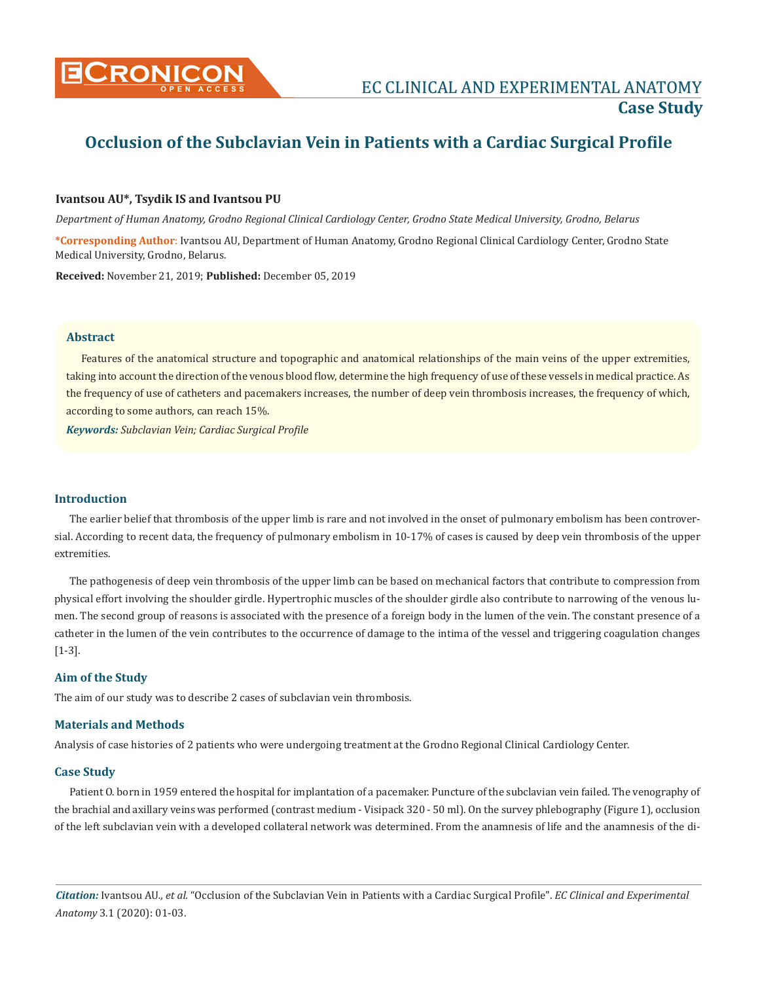

# **Occlusion of the Subclavian Vein in Patients with a Cardiac Surgical Profile**

## **Ivantsou AU\*, Tsydik IS and Ivantsou PU**

*Department of Human Anatomy, Grodno Regional Clinical Cardiology Center, Grodno State Medical University, Grodno, Belarus*

**\*Corresponding Author**: Ivantsou AU, Department of Human Anatomy, Grodno Regional Clinical Cardiology Center, Grodno State Medical University, Grodno, Belarus.

**Received:** November 21, 2019; **Published:** December 05, 2019

#### **Abstract**

Features of the anatomical structure and topographic and anatomical relationships of the main veins of the upper extremities, taking into account the direction of the venous blood flow, determine the high frequency of use of these vessels in medical practice. As the frequency of use of catheters and pacemakers increases, the number of deep vein thrombosis increases, the frequency of which, according to some authors, can reach 15%.

*Keywords: Subclavian Vein; Cardiac Surgical Profile*

### **Introduction**

The earlier belief that thrombosis of the upper limb is rare and not involved in the onset of pulmonary embolism has been controversial. According to recent data, the frequency of pulmonary embolism in 10-17% of cases is caused by deep vein thrombosis of the upper extremities.

The pathogenesis of deep vein thrombosis of the upper limb can be based on mechanical factors that contribute to compression from physical effort involving the shoulder girdle. Hypertrophic muscles of the shoulder girdle also contribute to narrowing of the venous lumen. The second group of reasons is associated with the presence of a foreign body in the lumen of the vein. The constant presence of a catheter in the lumen of the vein contributes to the occurrence of damage to the intima of the vessel and triggering coagulation changes [1-3].

#### **Aim of the Study**

The aim of our study was to describe 2 cases of subclavian vein thrombosis.

#### **Materials and Methods**

Analysis of case histories of 2 patients who were undergoing treatment at the Grodno Regional Clinical Cardiology Center.

#### **Case Study**

Patient O. born in 1959 entered the hospital for implantation of a pacemaker. Puncture of the subclavian vein failed. The venography of the brachial and axillary veins was performed (contrast medium - Visipack 320 - 50 ml). On the survey phlebography (Figure 1), occlusion of the left subclavian vein with a developed collateral network was determined. From the anamnesis of life and the anamnesis of the di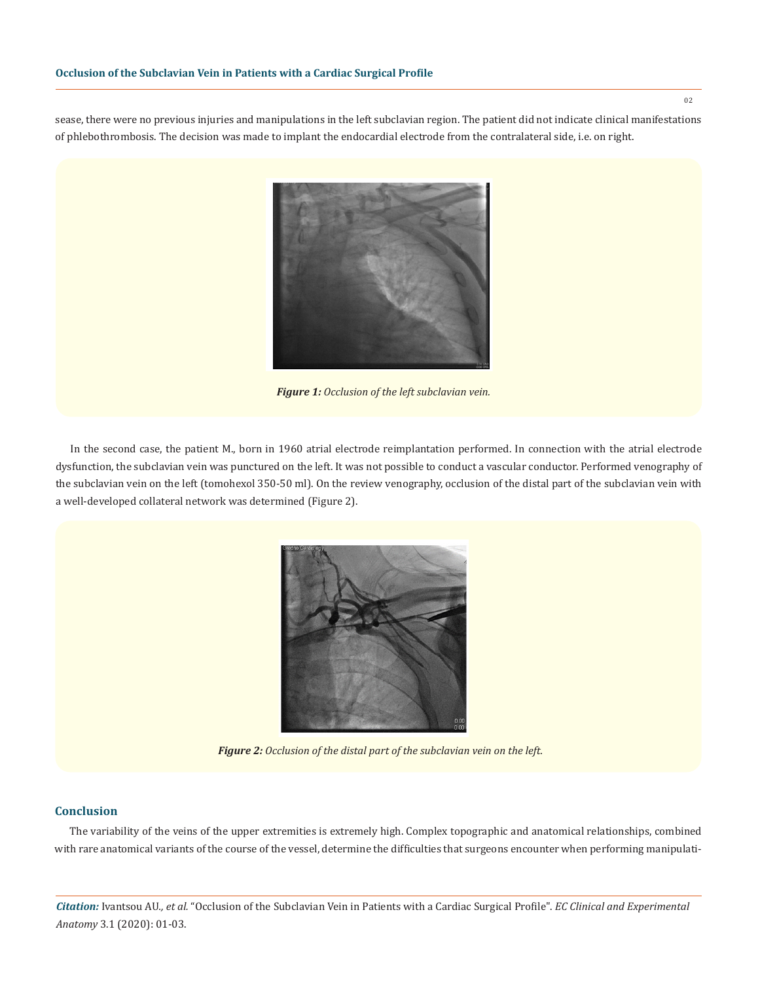sease, there were no previous injuries and manipulations in the left subclavian region. The patient did not indicate clinical manifestations of phlebothrombosis. The decision was made to implant the endocardial electrode from the contralateral side, i.e. on right.



*Figure 1: Occlusion of the left subclavian vein.*

In the second case, the patient M., born in 1960 atrial electrode reimplantation performed. In connection with the atrial electrode dysfunction, the subclavian vein was punctured on the left. It was not possible to conduct a vascular conductor. Performed venography of the subclavian vein on the left (tomohexol 350-50 ml). On the review venography, occlusion of the distal part of the subclavian vein with a well-developed collateral network was determined (Figure 2).



*Figure 2: Occlusion of the distal part of the subclavian vein on the left.*

## **Conclusion**

The variability of the veins of the upper extremities is extremely high. Complex topographic and anatomical relationships, combined with rare anatomical variants of the course of the vessel, determine the difficulties that surgeons encounter when performing manipulati-

*Citation:* Ivantsou AU*., et al.* "Occlusion of the Subclavian Vein in Patients with a Cardiac Surgical Profile". *EC Clinical and Experimental Anatomy* 3.1 (2020): 01-03.

02